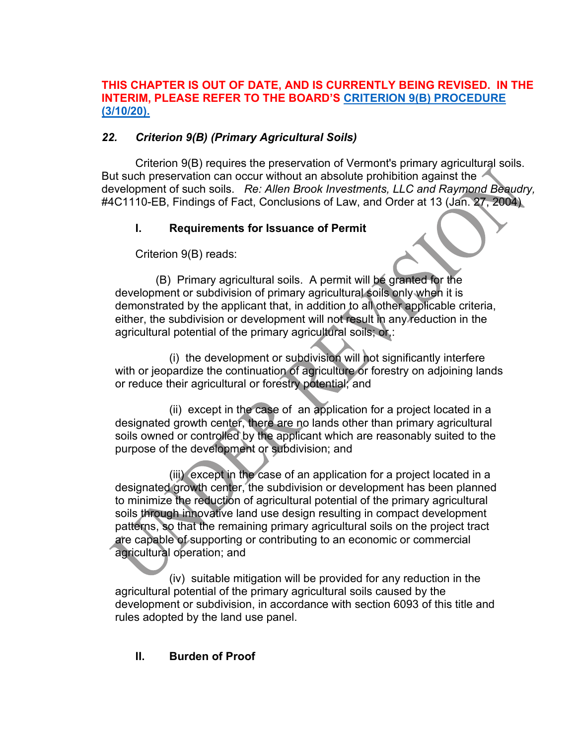### *22. Criterion 9(B) (Primary Agricultural Soils)*

Criterion 9(B) requires the preservation of Vermont's primary agricultural soils. But such preservation can occur without an absolute prohibition against the development of such soils. *Re: Allen Brook Investments, LLC and Raymond Beaudry,* #4C1110-EB, Findings of Fact, Conclusions of Law, and Order at 13 (Jan. 27, 2004)

#### **I. Requirements for Issuance of Permit**

Criterion 9(B) reads:

(B) Primary agricultural soils. A permit will be granted for the development or subdivision of primary agricultural soils only when it is demonstrated by the applicant that, in addition to all other applicable criteria, either, the subdivision or development will not result in any reduction in the agricultural potential of the primary agricultural soils; or,:

(i) the development or subdivision will not significantly interfere with or jeopardize the continuation of agriculture or forestry on adjoining lands or reduce their agricultural or forestry potential; and

(ii) except in the case of an application for a project located in a designated growth center, there are no lands other than primary agricultural soils owned or controlled by the applicant which are reasonably suited to the purpose of the development or subdivision; and

(iii) except in the case of an application for a project located in a designated growth center, the subdivision or development has been planned to minimize the reduction of agricultural potential of the primary agricultural soils through innovative land use design resulting in compact development patterns, so that the remaining primary agricultural soils on the project tract are capable of supporting or contributing to an economic or commercial agricultural operation; and

(iv) suitable mitigation will be provided for any reduction in the agricultural potential of the primary agricultural soils caused by the development or subdivision, in accordance with section 6093 of this title and rules adopted by the land use panel.

## **II. Burden of Proof**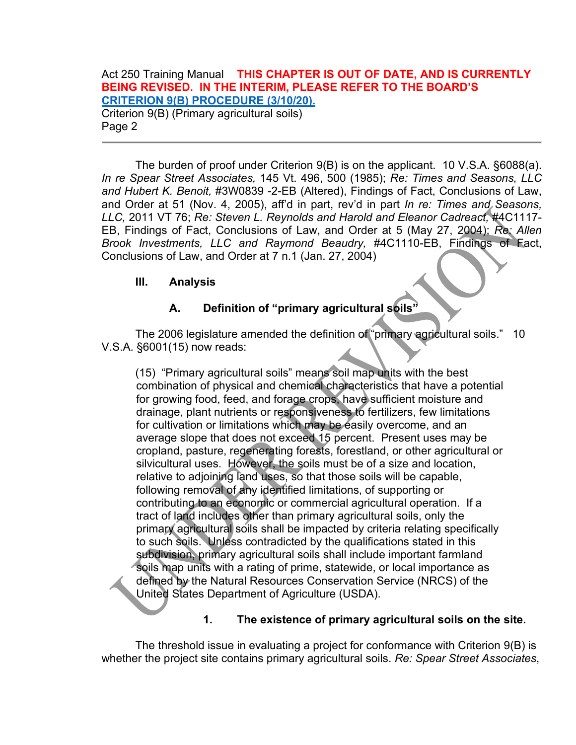The burden of proof under Criterion 9(B) is on the applicant. 10 V.S.A. §6088(a). *In re Spear Street Associates,* 145 Vt. 496, 500 (1985); *Re: Times and Seasons, LLC and Hubert K. Benoit,* #3W0839 -2-EB (Altered), Findings of Fact, Conclusions of Law, and Order at 51 (Nov. 4, 2005), aff'd in part, rev'd in part *In re: Times and Seasons, LLC,* 2011 VT 76; *Re: Steven L. Reynolds and Harold and Eleanor Cadreact,* #4C1117- EB, Findings of Fact, Conclusions of Law, and Order at 5 (May 27, 2004); *Re: Allen Brook Investments, LLC and Raymond Beaudry,* #4C1110-EB, Findings of Fact, Conclusions of Law, and Order at 7 n.1 (Jan. 27, 2004)

## **III. Analysis**

# **A. Definition of "primary agricultural soils"**

The 2006 legislature amended the definition of "primary agricultural soils." 10 V.S.A. §6001(15) now reads:

(15) "Primary agricultural soils" means soil map units with the best combination of physical and chemical characteristics that have a potential for growing food, feed, and forage crops, have sufficient moisture and drainage, plant nutrients or responsiveness to fertilizers, few limitations for cultivation or limitations which may be easily overcome, and an average slope that does not exceed 15 percent. Present uses may be cropland, pasture, regenerating forests, forestland, or other agricultural or silvicultural uses. However, the soils must be of a size and location, relative to adjoining land uses, so that those soils will be capable, following removal of any identified limitations, of supporting or contributing to an economic or commercial agricultural operation. If a tract of land includes other than primary agricultural soils, only the primary agricultural soils shall be impacted by criteria relating specifically to such soils. Unless contradicted by the qualifications stated in this subdivision, primary agricultural soils shall include important farmland soils map units with a rating of prime, statewide, or local importance as defined by the Natural Resources Conservation Service (NRCS) of the United States Department of Agriculture (USDA).

## **1. The existence of primary agricultural soils on the site.**

The threshold issue in evaluating a project for conformance with Criterion 9(B) is whether the project site contains primary agricultural soils. *Re: Spear Street Associates*,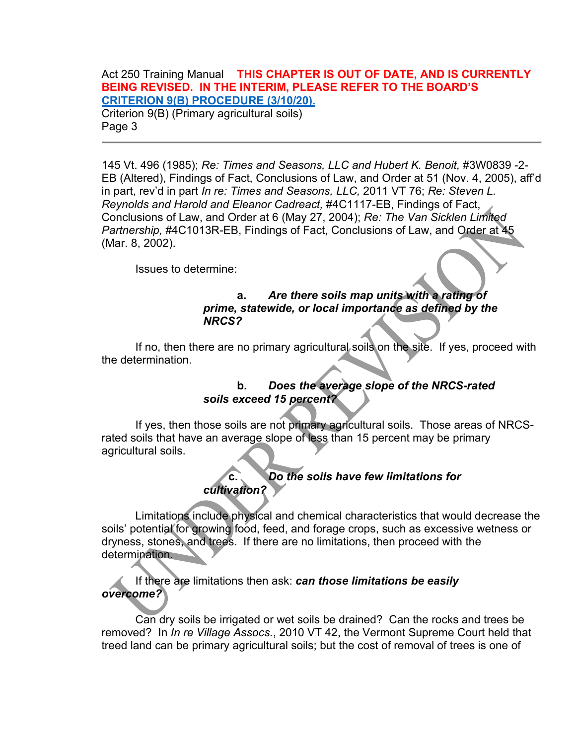Criterion 9(B) (Primary agricultural soils) Page 3

145 Vt. 496 (1985); *Re: Times and Seasons, LLC and Hubert K. Benoit,* #3W0839 -2- EB (Altered), Findings of Fact, Conclusions of Law, and Order at 51 (Nov. 4, 2005), aff'd in part, rev'd in part *In re: Times and Seasons, LLC,* 2011 VT 76; *Re: Steven L. Reynolds and Harold and Eleanor Cadreact,* #4C1117-EB, Findings of Fact, Conclusions of Law, and Order at 6 (May 27, 2004); *Re: The Van Sicklen Limited Partnership,* #4C1013R-EB, Findings of Fact, Conclusions of Law, and Order at 45 (Mar. 8, 2002).

Issues to determine:

#### **a.** *Are there soils map units with a rating of prime, statewide, or local importance as defined by the NRCS?*

If no, then there are no primary agricultural soils on the site. If yes, proceed with the determination.

#### **b.** *Does the average slope of the NRCS-rated soils exceed 15 percent?*

If yes, then those soils are not primary agricultural soils. Those areas of NRCSrated soils that have an average slope of less than 15 percent may be primary agricultural soils.

> **c.** *Do the soils have few limitations for cultivation?*

Limitations include physical and chemical characteristics that would decrease the soils' potential for growing food, feed, and forage crops, such as excessive wetness or dryness, stones, and trees. If there are no limitations, then proceed with the determination.

If there are limitations then ask: *can those limitations be easily overcome?* 

Can dry soils be irrigated or wet soils be drained? Can the rocks and trees be removed? In *In re Village Assocs.*, 2010 VT 42, the Vermont Supreme Court held that treed land can be primary agricultural soils; but the cost of removal of trees is one of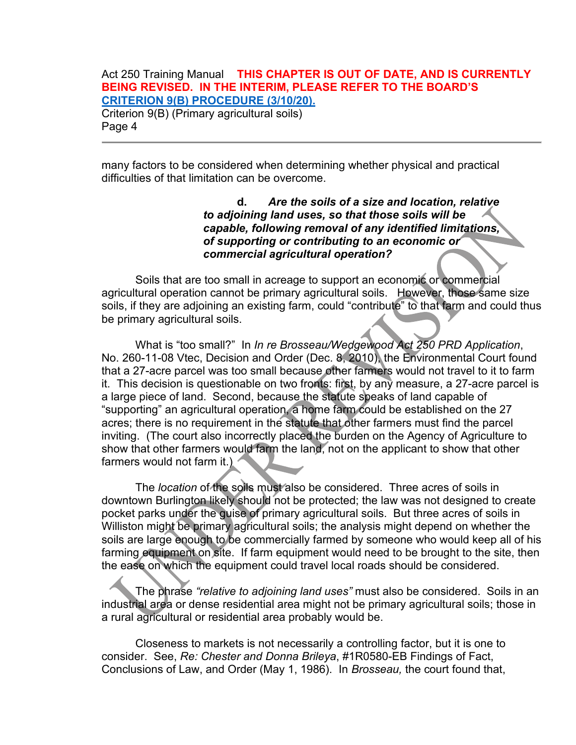many factors to be considered when determining whether physical and practical difficulties of that limitation can be overcome.

> **d.** *Are the soils of a size and location, relative to adjoining land uses, so that those soils will be capable, following removal of any identified limitations, of supporting or contributing to an economic or commercial agricultural operation?*

Soils that are too small in acreage to support an economic or commercial agricultural operation cannot be primary agricultural soils. However, those same size soils, if they are adjoining an existing farm, could "contribute" to that farm and could thus be primary agricultural soils.

What is "too small?" In *In re Brosseau/Wedgewood Act 250 PRD Application*, No. 260-11-08 Vtec, Decision and Order (Dec. 8, 2010), the Environmental Court found that a 27-acre parcel was too small because other farmers would not travel to it to farm it. This decision is questionable on two fronts: first, by any measure, a 27-acre parcel is a large piece of land. Second, because the statute speaks of land capable of "supporting" an agricultural operation, a home farm could be established on the 27 acres; there is no requirement in the statute that other farmers must find the parcel inviting. (The court also incorrectly placed the burden on the Agency of Agriculture to show that other farmers would farm the land, not on the applicant to show that other farmers would not farm it.)

The *location* of the soils must also be considered. Three acres of soils in downtown Burlington likely should not be protected; the law was not designed to create pocket parks under the guise of primary agricultural soils. But three acres of soils in Williston might be primary agricultural soils; the analysis might depend on whether the soils are large enough to be commercially farmed by someone who would keep all of his farming equipment on site. If farm equipment would need to be brought to the site, then the ease on which the equipment could travel local roads should be considered.

The phrase *"relative to adjoining land uses"* must also be considered. Soils in an industrial area or dense residential area might not be primary agricultural soils; those in a rural agricultural or residential area probably would be.

Closeness to markets is not necessarily a controlling factor, but it is one to consider. See, *Re: Chester and Donna Brileya*, #1R0580-EB Findings of Fact, Conclusions of Law, and Order (May 1, 1986). In *Brosseau,* the court found that,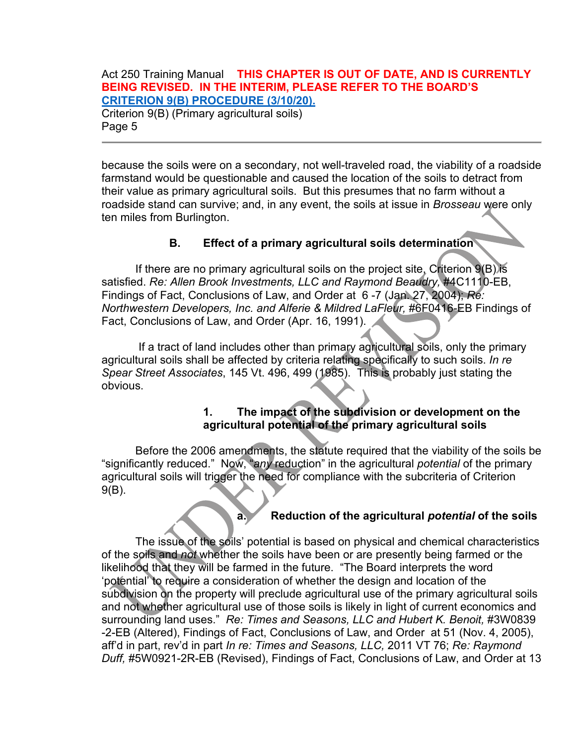Page 5

because the soils were on a secondary, not well-traveled road, the viability of a roadside farmstand would be questionable and caused the location of the soils to detract from their value as primary agricultural soils. But this presumes that no farm without a roadside stand can survive; and, in any event, the soils at issue in *Brosseau* were only ten miles from Burlington.

## **B. Effect of a primary agricultural soils determination**

If there are no primary agricultural soils on the project site, Criterion 9(B) is satisfied. *Re: Allen Brook Investments, LLC and Raymond Beaudry,* #4C1110-EB, Findings of Fact, Conclusions of Law, and Order at 6 -7 (Jan. 27, 2004); *Re: Northwestern Developers, Inc. and Alferie & Mildred LaFleur, #6F0416-EB Findings of* Fact, Conclusions of Law, and Order (Apr. 16, 1991).

If a tract of land includes other than primary agricultural soils, only the primary agricultural soils shall be affected by criteria relating specifically to such soils. *In re Spear Street Associates*, 145 Vt. 496, 499 (1985). This is probably just stating the obvious.

## **1. The impact of the subdivision or development on the agricultural potential of the primary agricultural soils**

Before the 2006 amendments, the statute required that the viability of the soils be "significantly reduced." Now, "*any* reduction" in the agricultural *potential* of the primary agricultural soils will trigger the need for compliance with the subcriteria of Criterion 9(B).

# **a. Reduction of the agricultural** *potential* **of the soils**

The issue of the soils' potential is based on physical and chemical characteristics of the soils and *not* whether the soils have been or are presently being farmed or the likelihood that they will be farmed in the future. "The Board interprets the word 'potential' to require a consideration of whether the design and location of the subdivision on the property will preclude agricultural use of the primary agricultural soils and not whether agricultural use of those soils is likely in light of current economics and surrounding land uses." *Re: Times and Seasons, LLC and Hubert K. Benoit, #3W0839* -2-EB (Altered), Findings of Fact, Conclusions of Law, and Order at 51 (Nov. 4, 2005), aff'd in part, rev'd in part *In re: Times and Seasons, LLC,* 2011 VT 76; *Re: Raymond Duff,* #5W0921-2R-EB (Revised), Findings of Fact, Conclusions of Law, and Order at 13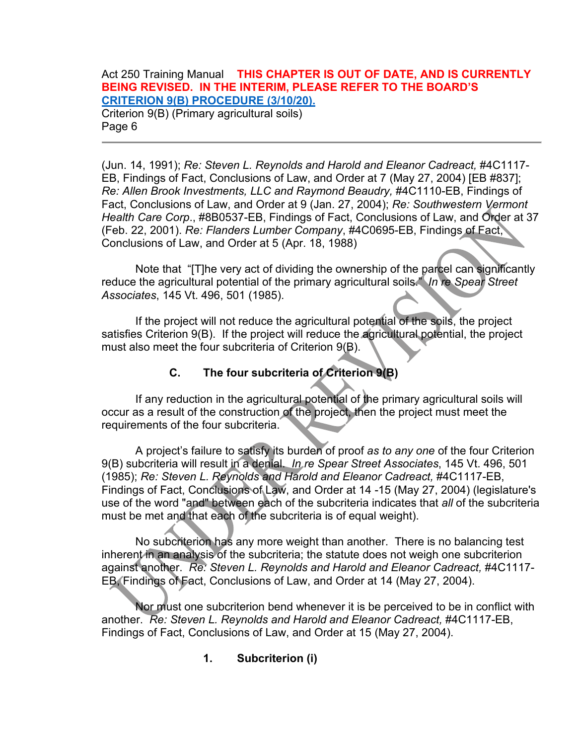Criterion 9(B) (Primary agricultural soils) Page 6

(Jun. 14, 1991); *Re: Steven L. Reynolds and Harold and Eleanor Cadreact,* #4C1117- EB, Findings of Fact, Conclusions of Law, and Order at 7 (May 27, 2004) [EB #837]; *Re: Allen Brook Investments, LLC and Raymond Beaudry,* #4C1110-EB, Findings of Fact, Conclusions of Law, and Order at 9 (Jan. 27, 2004); *Re: Southwestern Vermont Health Care Corp*., #8B0537-EB, Findings of Fact, Conclusions of Law, and Order at 37 (Feb. 22, 2001). *Re: Flanders Lumber Company*, #4C0695-EB, Findings of Fact, Conclusions of Law, and Order at 5 (Apr. 18, 1988)

Note that "[T]he very act of dividing the ownership of the parcel can significantly reduce the agricultural potential of the primary agricultural soils." *In re Spear Street Associates*, 145 Vt. 496, 501 (1985).

If the project will not reduce the agricultural potential of the soils, the project satisfies Criterion 9(B). If the project will reduce the agricultural potential, the project must also meet the four subcriteria of Criterion 9(B).

# **C. The four subcriteria of Criterion 9(B)**

If any reduction in the agricultural potential of the primary agricultural soils will occur as a result of the construction of the project, then the project must meet the requirements of the four subcriteria.

A project's failure to satisfy its burden of proof *as to any one* of the four Criterion 9(B) subcriteria will result in a denial. *In re Spear Street Associates*, 145 Vt. 496, 501 (1985); *Re: Steven L. Reynolds and Harold and Eleanor Cadreact,* #4C1117-EB, Findings of Fact, Conclusions of Law, and Order at 14 -15 (May 27, 2004) (legislature's use of the word "and" between each of the subcriteria indicates that *all* of the subcriteria must be met and that each of the subcriteria is of equal weight).

No subcriterion has any more weight than another. There is no balancing test inherent in an analysis of the subcriteria; the statute does not weigh one subcriterion against another. *Re: Steven L. Reynolds and Harold and Eleanor Cadreact,* #4C1117- EB, Findings of Fact, Conclusions of Law, and Order at 14 (May 27, 2004).

Nor must one subcriterion bend whenever it is be perceived to be in conflict with another. *Re: Steven L. Reynolds and Harold and Eleanor Cadreact,* #4C1117-EB, Findings of Fact, Conclusions of Law, and Order at 15 (May 27, 2004).

## **1. Subcriterion (i)**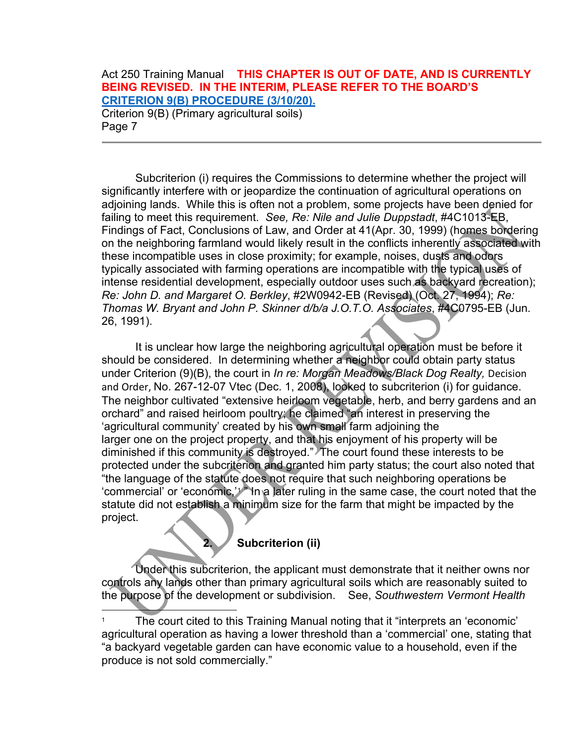Subcriterion (i) requires the Commissions to determine whether the project will significantly interfere with or jeopardize the continuation of agricultural operations on adjoining lands. While this is often not a problem, some projects have been denied for failing to meet this requirement. *See, Re: Nile and Julie Duppstadt*, #4C1013-EB, Findings of Fact, Conclusions of Law, and Order at 41(Apr. 30, 1999) (homes bordering on the neighboring farmland would likely result in the conflicts inherently associated with these incompatible uses in close proximity; for example, noises, dusts and odors typically associated with farming operations are incompatible with the typical uses of intense residential development, especially outdoor uses such as backyard recreation); *Re: John D. and Margaret O. Berkley*, #2W0942-EB (Revised) (Oct. 27, 1994); *Re: Thomas W. Bryant and John P. Skinner d/b/a J.O.T.O. Associates*, #4C0795-EB (Jun. 26, 1991).

It is unclear how large the neighboring agricultural operation must be before it should be considered. In determining whether a neighbor could obtain party status under Criterion (9)(B), the court in *In re: Morgan Meadows/Black Dog Realty,* Decision and Order, No. 267-12-07 Vtec (Dec. 1, 2008), looked to subcriterion (i) for guidance. The neighbor cultivated "extensive heirloom vegetable, herb, and berry gardens and an orchard" and raised heirloom poultry; he claimed "an interest in preserving the 'agricultural community' created by his own small farm adjoining the larger one on the project property, and that his enjoyment of his property will be diminished if this community is destroyed." The court found these interests to be protected under the subcriterion and granted him party status; the court also noted that "the language of the statute does not require that such neighboring operations be 'commercial' or 'economic,'[1](#page-6-0) " In a later ruling in the same case, the court noted that the statute did not establish a minimum size for the farm that might be impacted by the project.

# **2. Subcriterion (ii)**

Under this subcriterion, the applicant must demonstrate that it neither owns nor controls any lands other than primary agricultural soils which are reasonably suited to the purpose of the development or subdivision. See, *Southwestern Vermont Health* 

<span id="page-6-0"></span>The court cited to this Training Manual noting that it "interprets an 'economic' agricultural operation as having a lower threshold than a 'commercial' one, stating that "a backyard vegetable garden can have economic value to a household, even if the produce is not sold commercially."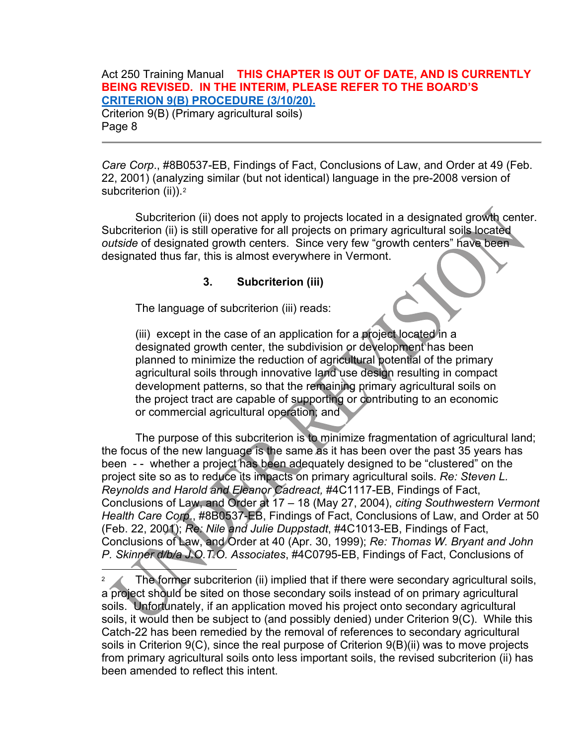Criterion 9(B) (Primary agricultural soils) Page 8

*Care Corp*., #8B0537-EB, Findings of Fact, Conclusions of Law, and Order at 49 (Feb. 22, 2001) (analyzing similar (but not identical) language in the pre-2008 version of subcriterion (ii)).<sup>[2](#page-7-0)</sup>

Subcriterion (ii) does not apply to projects located in a designated growth center. Subcriterion (ii) is still operative for all projects on primary agricultural soils located *outside* of designated growth centers. Since very few "growth centers" have been designated thus far, this is almost everywhere in Vermont.

#### **3. Subcriterion (iii)**

The language of subcriterion (iii) reads:

(iii) except in the case of an application for a project located in a designated growth center, the subdivision or development has been planned to minimize the reduction of agricultural potential of the primary agricultural soils through innovative land use design resulting in compact development patterns, so that the remaining primary agricultural soils on the project tract are capable of supporting or contributing to an economic or commercial agricultural operation; and

The purpose of this subcriterion is to minimize fragmentation of agricultural land; the focus of the new language is the same as it has been over the past 35 years has been - - whether a project has been adequately designed to be "clustered" on the project site so as to reduce its impacts on primary agricultural soils. *Re: Steven L. Reynolds and Harold and Eleanor Cadreact,* #4C1117-EB, Findings of Fact, Conclusions of Law, and Order at 17 – 18 (May 27, 2004), *citing Southwestern Vermont Health Care Corp*., #8B0537-EB, Findings of Fact, Conclusions of Law, and Order at 50 (Feb. 22, 2001); *Re: Nile and Julie Duppstadt*, #4C1013-EB, Findings of Fact, Conclusions of Law, and Order at 40 (Apr. 30, 1999); *Re: Thomas W. Bryant and John P. Skinner d/b/a J.O.T.O. Associates*, #4C0795-EB, Findings of Fact, Conclusions of

<span id="page-7-0"></span><sup>&</sup>lt;sup>2</sup> The former subcriterion (ii) implied that if there were secondary agricultural soils, a project should be sited on those secondary soils instead of on primary agricultural soils. Unfortunately, if an application moved his project onto secondary agricultural soils, it would then be subject to (and possibly denied) under Criterion 9(C). While this Catch-22 has been remedied by the removal of references to secondary agricultural soils in Criterion 9(C), since the real purpose of Criterion 9(B)(ii) was to move projects from primary agricultural soils onto less important soils, the revised subcriterion (ii) has been amended to reflect this intent.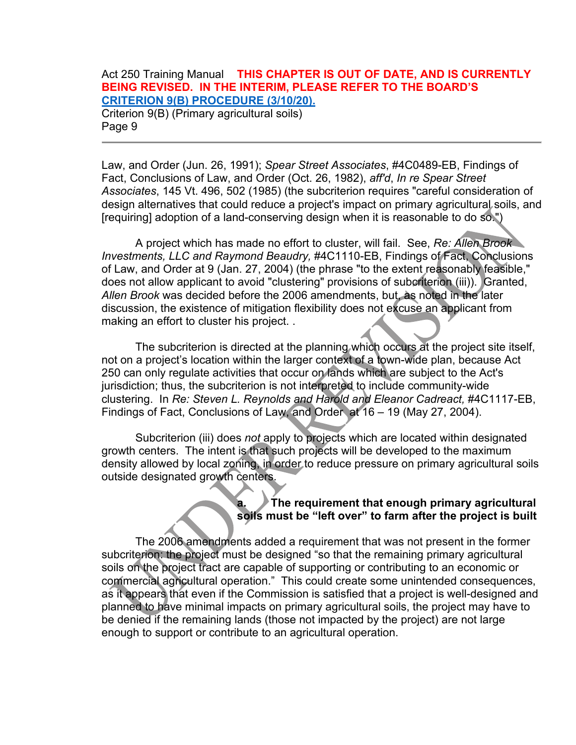Page 9

Law, and Order (Jun. 26, 1991); *Spear Street Associates*, #4C0489-EB, Findings of Fact, Conclusions of Law, and Order (Oct. 26, 1982), *aff'd*, *In re Spear Street Associates*, 145 Vt. 496, 502 (1985) (the subcriterion requires "careful consideration of design alternatives that could reduce a project's impact on primary agricultural soils, and [requiring] adoption of a land-conserving design when it is reasonable to do so.")

A project which has made no effort to cluster, will fail. See, *Re: Allen Brook Investments, LLC and Raymond Beaudry,* #4C1110-EB, Findings of Fact, Conclusions of Law, and Order at 9 (Jan. 27, 2004) (the phrase "to the extent reasonably feasible," does not allow applicant to avoid "clustering" provisions of subcriterion (iii)). Granted, *Allen Brook* was decided before the 2006 amendments, but, as noted in the later discussion, the existence of mitigation flexibility does not excuse an applicant from making an effort to cluster his project. .

The subcriterion is directed at the planning which occurs at the project site itself, not on a project's location within the larger context of a town-wide plan, because Act 250 can only regulate activities that occur on lands which are subject to the Act's jurisdiction; thus, the subcriterion is not interpreted to include community-wide clustering. In *Re: Steven L. Reynolds and Harold and Eleanor Cadreact, #4C1117-EB,* Findings of Fact, Conclusions of Law, and Order at 16 – 19 (May 27, 2004).

Subcriterion (iii) does *not* apply to projects which are located within designated growth centers. The intent is that such projects will be developed to the maximum density allowed by local zoning, in order to reduce pressure on primary agricultural soils outside designated growth centers.

## **a. The requirement that enough primary agricultural soils must be "left over" to farm after the project is built**

The 2006 amendments added a requirement that was not present in the former subcriterion: the project must be designed "so that the remaining primary agricultural soils on the project tract are capable of supporting or contributing to an economic or commercial agricultural operation." This could create some unintended consequences, as it appears that even if the Commission is satisfied that a project is well-designed and planned to have minimal impacts on primary agricultural soils, the project may have to be denied if the remaining lands (those not impacted by the project) are not large enough to support or contribute to an agricultural operation.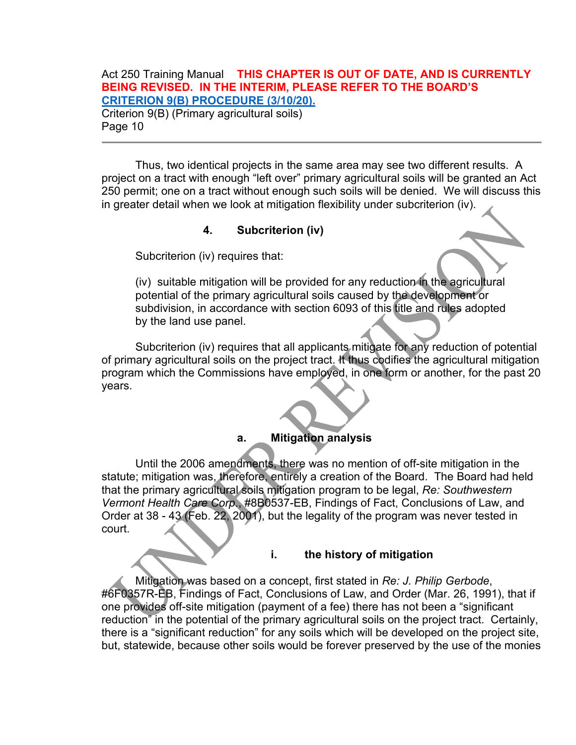Thus, two identical projects in the same area may see two different results. A project on a tract with enough "left over" primary agricultural soils will be granted an Act 250 permit; one on a tract without enough such soils will be denied. We will discuss this in greater detail when we look at mitigation flexibility under subcriterion (iv).

## **4. Subcriterion (iv)**

Subcriterion (iv) requires that:

(iv) suitable mitigation will be provided for any reduction in the agricultural potential of the primary agricultural soils caused by the development or subdivision, in accordance with section 6093 of this title and rules adopted by the land use panel.

Subcriterion (iv) requires that all applicants mitigate for any reduction of potential of primary agricultural soils on the project tract. It thus codifies the agricultural mitigation program which the Commissions have employed, in one form or another, for the past 20 years.

## **a. Mitigation analysis**

Until the 2006 amendments, there was no mention of off-site mitigation in the statute; mitigation was, therefore, entirely a creation of the Board. The Board had held that the primary agricultural soils mitigation program to be legal, *Re: Southwestern Vermont Health Care Corp*., #8B0537-EB, Findings of Fact, Conclusions of Law, and Order at 38 - 43 (Feb. 22, 2001), but the legality of the program was never tested in court.

## **i. the history of mitigation**

Mitigation was based on a concept, first stated in *Re: J. Philip Gerbode*, #6F0357R-EB, Findings of Fact, Conclusions of Law, and Order (Mar. 26, 1991), that if one provides off-site mitigation (payment of a fee) there has not been a "significant reduction" in the potential of the primary agricultural soils on the project tract. Certainly, there is a "significant reduction" for any soils which will be developed on the project site, but, statewide, because other soils would be forever preserved by the use of the monies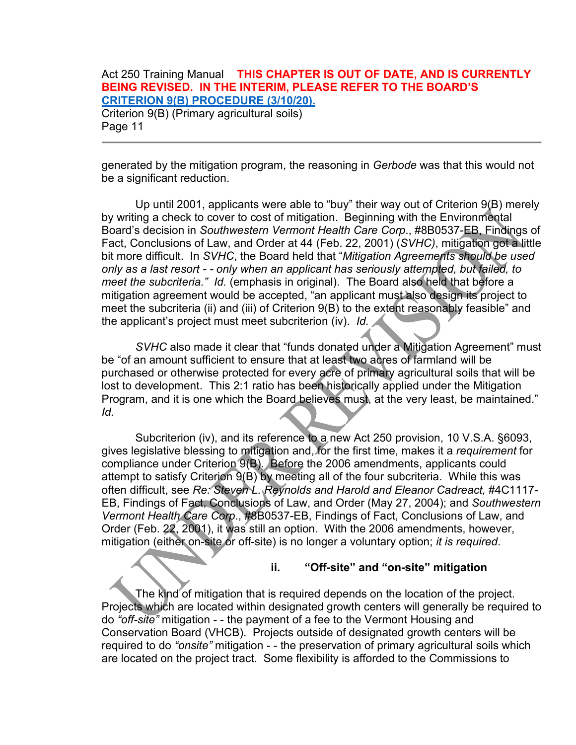generated by the mitigation program, the reasoning in *Gerbode* was that this would not be a significant reduction.

Up until 2001, applicants were able to "buy" their way out of Criterion 9(B) merely by writing a check to cover to cost of mitigation. Beginning with the Environmental Board's decision in *Southwestern Vermont Health Care Corp*., #8B0537-EB, Findings of Fact, Conclusions of Law, and Order at 44 (Feb. 22, 2001) (*SVHC)*, mitigation got a little bit more difficult. In *SVHC*, the Board held that "*Mitigation Agreements should be used only as a last resort - - only when an applicant has seriously attempted, but failed, to meet the subcriteria." Id.* (emphasis in original). The Board also held that before a mitigation agreement would be accepted, "an applicant must also design its project to meet the subcriteria (ii) and (iii) of Criterion 9(B) to the extent reasonably feasible" and the applicant's project must meet subcriterion (iv). *Id.*

*SVHC* also made it clear that "funds donated under a Mitigation Agreement" must be "of an amount sufficient to ensure that at least two acres of farmland will be purchased or otherwise protected for every acre of primary agricultural soils that will be lost to development. This 2:1 ratio has been historically applied under the Mitigation Program, and it is one which the Board believes must, at the very least, be maintained." *Id.*

Subcriterion (iv), and its reference to a new Act 250 provision, 10 V.S.A. §6093, gives legislative blessing to mitigation and, for the first time, makes it a *requirement* for compliance under Criterion 9(B). Before the 2006 amendments, applicants could attempt to satisfy Criterion 9(B) by meeting all of the four subcriteria. While this was often difficult, see *Re: Steven L. Reynolds and Harold and Eleanor Cadreact,* #4C1117- EB, Findings of Fact, Conclusions of Law, and Order (May 27, 2004); and *Southwestern Vermont Health Care Corp*., #8B0537-EB, Findings of Fact, Conclusions of Law, and Order (Feb. 22, 2001), it was still an option. With the 2006 amendments, however, mitigation (either on-site or off-site) is no longer a voluntary option; *it is required*.

**ii. "Off-site" and "on-site" mitigation** 

The kind of mitigation that is required depends on the location of the project. Projects which are located within designated growth centers will generally be required to do *"off-site"* mitigation - - the payment of a fee to the Vermont Housing and Conservation Board (VHCB). Projects outside of designated growth centers will be required to do *"onsite"* mitigation - - the preservation of primary agricultural soils which are located on the project tract. Some flexibility is afforded to the Commissions to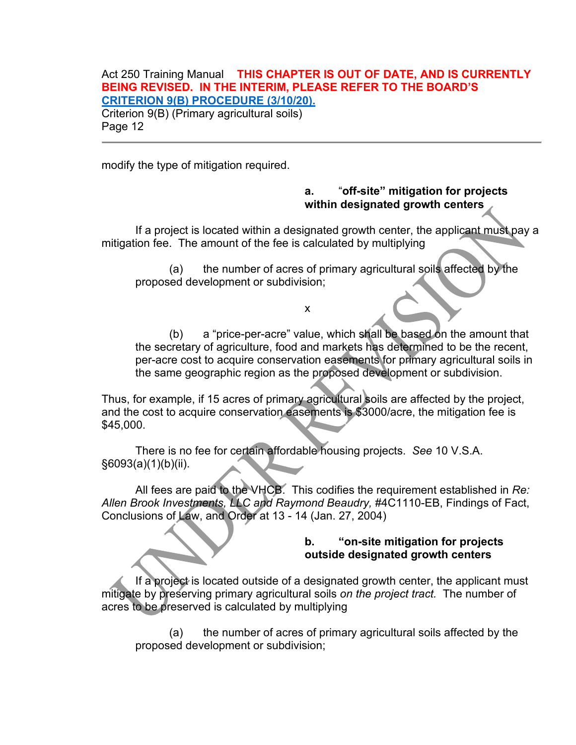Criterion 9(B) (Primary agricultural soils) Page 12

modify the type of mitigation required.

#### **a.** "**off-site" mitigation for projects within designated growth centers**

If a project is located within a designated growth center, the applicant must pay a mitigation fee. The amount of the fee is calculated by multiplying

(a) the number of acres of primary agricultural soils affected by the proposed development or subdivision;

x

(b) a "price-per-acre" value, which shall be based on the amount that the secretary of agriculture, food and markets has determined to be the recent, per-acre cost to acquire conservation easements for primary agricultural soils in the same geographic region as the proposed development or subdivision.

Thus, for example, if 15 acres of primary agricultural soils are affected by the project, and the cost to acquire conservation easements is \$3000/acre, the mitigation fee is \$45,000.

There is no fee for certain affordable housing projects. *See* 10 V.S.A. §6093(a)(1)(b)(ii).

All fees are paid to the VHCB. This codifies the requirement established in *Re: Allen Brook Investments, LLC and Raymond Beaudry,* #4C1110-EB, Findings of Fact, Conclusions of Law, and Order at 13 - 14 (Jan. 27, 2004)

#### **b. "on-site mitigation for projects outside designated growth centers**

If a project is located outside of a designated growth center, the applicant must mitigate by preserving primary agricultural soils *on the project tract.* The number of acres to be preserved is calculated by multiplying

(a) the number of acres of primary agricultural soils affected by the proposed development or subdivision;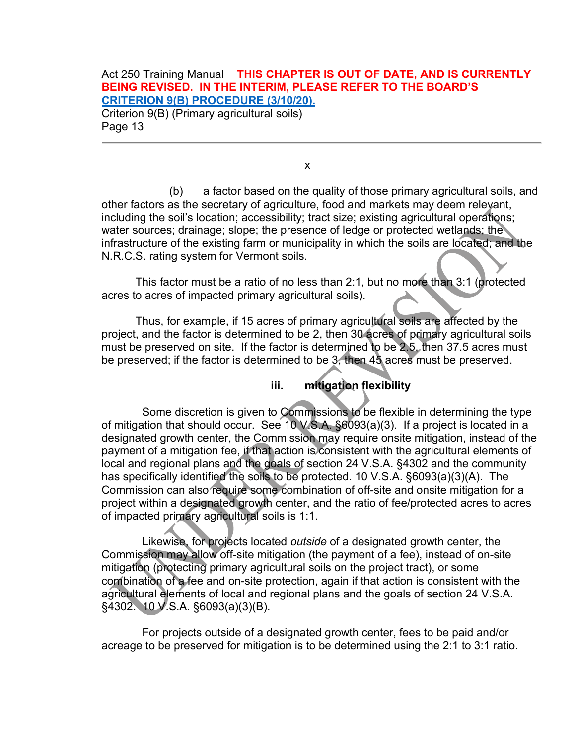Criterion 9(B) (Primary agricultural soils) Page 13

x

(b) a factor based on the quality of those primary agricultural soils, and other factors as the secretary of agriculture, food and markets may deem relevant, including the soil's location; accessibility; tract size; existing agricultural operations; water sources; drainage; slope; the presence of ledge or protected wetlands; the infrastructure of the existing farm or municipality in which the soils are located; and the N.R.C.S. rating system for Vermont soils.

This factor must be a ratio of no less than 2:1, but no more than 3:1 (protected acres to acres of impacted primary agricultural soils).

Thus, for example, if 15 acres of primary agricultural soils are affected by the project, and the factor is determined to be 2, then 30 acres of primary agricultural soils must be preserved on site. If the factor is determined to be 2.5, then 37.5 acres must be preserved; if the factor is determined to be 3, then 45 acres must be preserved.

**iii. mitigation flexibility** 

Some discretion is given to Commissions to be flexible in determining the type of mitigation that should occur. See 10 V.S.A. §6093(a)(3). If a project is located in a designated growth center, the Commission may require onsite mitigation, instead of the payment of a mitigation fee, if that action is consistent with the agricultural elements of local and regional plans and the goals of section 24 V.S.A. §4302 and the community has specifically identified the soils to be protected. 10 V.S.A. §6093(a)(3)(A). The Commission can also require some combination of off-site and onsite mitigation for a project within a designated growth center, and the ratio of fee/protected acres to acres of impacted primary agricultural soils is 1:1.

Likewise, for projects located *outside* of a designated growth center, the Commission may allow off-site mitigation (the payment of a fee), instead of on-site mitigation (protecting primary agricultural soils on the project tract), or some combination of a fee and on-site protection, again if that action is consistent with the agricultural elements of local and regional plans and the goals of section 24 V.S.A. §4302. 10 V.S.A. §6093(a)(3)(B).

For projects outside of a designated growth center, fees to be paid and/or acreage to be preserved for mitigation is to be determined using the 2:1 to 3:1 ratio.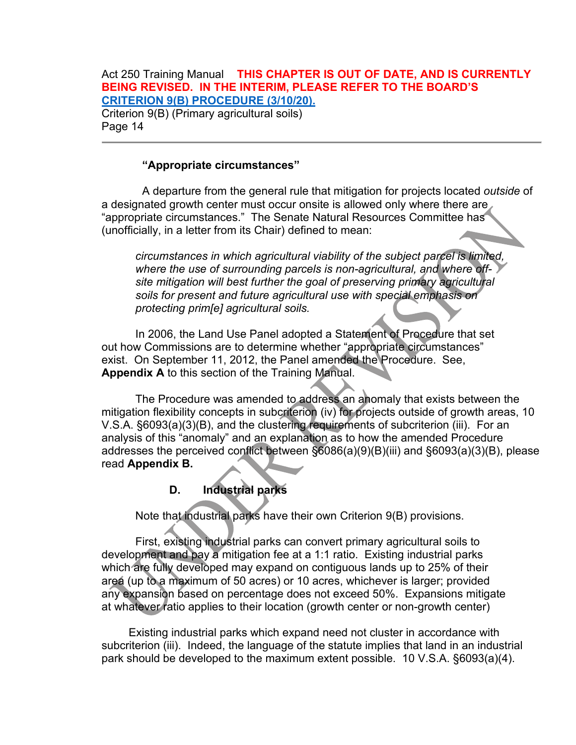**"Appropriate circumstances"**

A departure from the general rule that mitigation for projects located *outside* of a designated growth center must occur onsite is allowed only where there are "appropriate circumstances." The Senate Natural Resources Committee has (unofficially, in a letter from its Chair) defined to mean:

*circumstances in which agricultural viability of the subject parcel is limited, where the use of surrounding parcels is non-agricultural, and where offsite mitigation will best further the goal of preserving primary agricultural soils for present and future agricultural use with special emphasis on protecting prim[e] agricultural soils.*

In 2006, the Land Use Panel adopted a Statement of Procedure that set out how Commissions are to determine whether "appropriate circumstances" exist. On September 11, 2012, the Panel amended the Procedure. See, **Appendix A** to this section of the Training Manual.

The Procedure was amended to address an anomaly that exists between the mitigation flexibility concepts in subcriterion (iv) for projects outside of growth areas, 10 V.S.A. §6093(a)(3)(B), and the clustering requirements of subcriterion (iii). For an analysis of this "anomaly" and an explanation as to how the amended Procedure addresses the perceived conflict between §6086(a)(9)(B)(iii) and §6093(a)(3)(B), please read **Appendix B.**

**D. Industrial parks**

Note that industrial parks have their own Criterion 9(B) provisions.

First, existing industrial parks can convert primary agricultural soils to development and pay a mitigation fee at a 1:1 ratio. Existing industrial parks which are fully developed may expand on contiguous lands up to 25% of their area (up to a maximum of 50 acres) or 10 acres, whichever is larger; provided any expansion based on percentage does not exceed 50%. Expansions mitigate at whatever ratio applies to their location (growth center or non-growth center)

Existing industrial parks which expand need not cluster in accordance with subcriterion (iii). Indeed, the language of the statute implies that land in an industrial park should be developed to the maximum extent possible. 10 V.S.A. §6093(a)(4).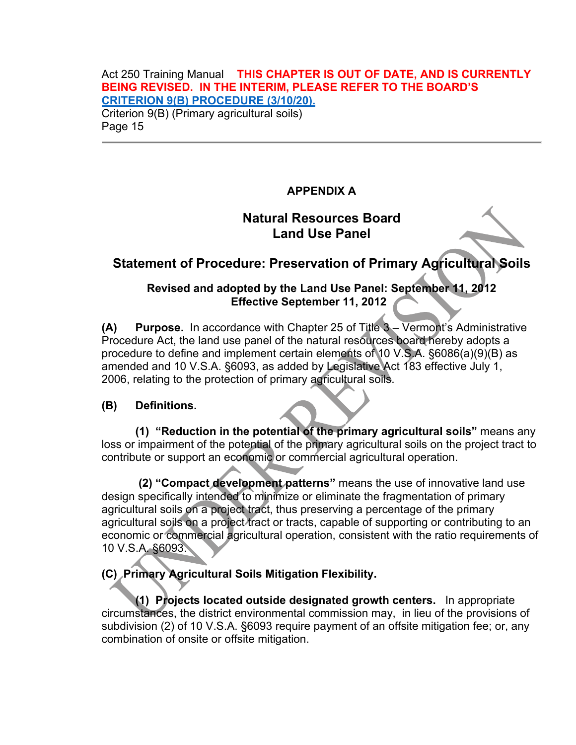## **APPENDIX A**

# **Natural Resources Board Land Use Panel**

# **Statement of Procedure: Preservation of Primary Agricultural Soils**

#### **Revised and adopted by the Land Use Panel: September 11, 2012 Effective September 11, 2012**

**(A) Purpose.** In accordance with Chapter 25 of Title 3 – Vermont's Administrative Procedure Act, the land use panel of the natural resources board hereby adopts a procedure to define and implement certain elements of 10 V.S.A. §6086(a)(9)(B) as amended and 10 V.S.A. §6093, as added by Legislative Act 183 effective July 1, 2006, relating to the protection of primary agricultural soils.

#### **(B) Definitions.**

 **(1) "Reduction in the potential of the primary agricultural soils"** means any loss or impairment of the potential of the primary agricultural soils on the project tract to contribute or support an economic or commercial agricultural operation.

**(2) "Compact development patterns"** means the use of innovative land use design specifically intended to minimize or eliminate the fragmentation of primary agricultural soils on a project tract, thus preserving a percentage of the primary agricultural soils on a project tract or tracts, capable of supporting or contributing to an economic or commercial agricultural operation, consistent with the ratio requirements of 10 V.S.A. §6093.

# **(C) Primary Agricultural Soils Mitigation Flexibility.**

**(1) Projects located outside designated growth centers.** In appropriate circumstances, the district environmental commission may, in lieu of the provisions of subdivision (2) of 10 V.S.A. §6093 require payment of an offsite mitigation fee; or, any combination of onsite or offsite mitigation.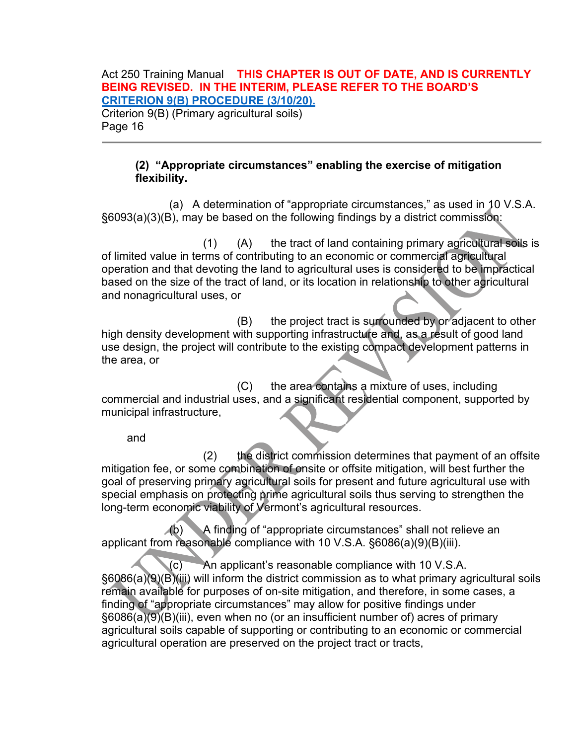Criterion 9(B) (Primary agricultural soils) Page 16

#### **(2) "Appropriate circumstances" enabling the exercise of mitigation flexibility.**

(a)A determination of "appropriate circumstances," as used in 10 V.S.A. §6093(a)(3)(B), may be based on the following findings by a district commission:

 (1) (A) the tract of land containing primary agricultural soils is of limited value in terms of contributing to an economic or commercial agricultural operation and that devoting the land to agricultural uses is considered to be impractical based on the size of the tract of land, or its location in relationship to other agricultural and nonagricultural uses, or

 (B) the project tract is surrounded by or adjacent to other high density development with supporting infrastructure and, as a result of good land use design, the project will contribute to the existing compact development patterns in the area, or

 (C) the area contains a mixture of uses, including commercial and industrial uses, and a significant residential component, supported by municipal infrastructure,

and

 (2) the district commission determines that payment of an offsite mitigation fee, or some combination of onsite or offsite mitigation, will best further the goal of preserving primary agricultural soils for present and future agricultural use with special emphasis on protecting prime agricultural soils thus serving to strengthen the long-term economic viability of Vermont's agricultural resources.

(b) A finding of "appropriate circumstances" shall not relieve an applicant from reasonable compliance with 10 V.S.A. §6086(a)(9)(B)(iii).

(c) An applicant's reasonable compliance with 10 V.S.A. §6086(a)(9)(B)(iii) will inform the district commission as to what primary agricultural soils remain available for purposes of on-site mitigation, and therefore, in some cases, a finding of "appropriate circumstances" may allow for positive findings under §6086(a)(9)(B)(iii), even when no (or an insufficient number of) acres of primary agricultural soils capable of supporting or contributing to an economic or commercial agricultural operation are preserved on the project tract or tracts,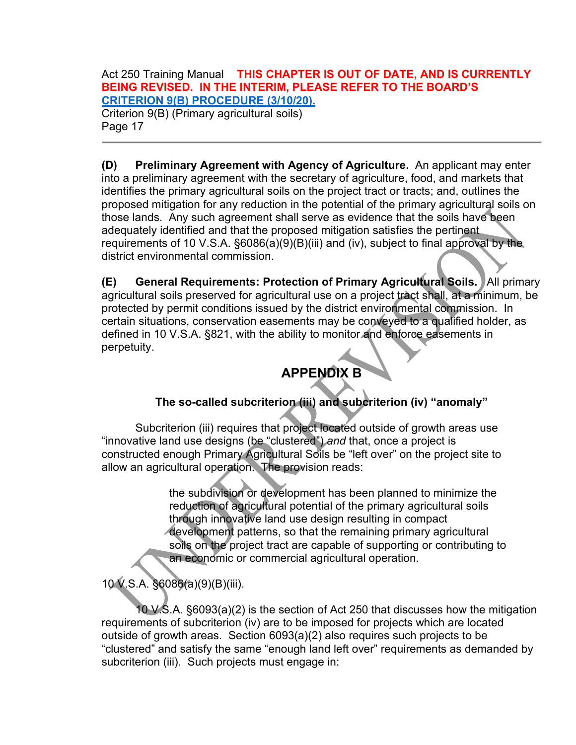Criterion 9(B) (Primary agricultural soils) Page 17

**(D) Preliminary Agreement with Agency of Agriculture.** An applicant may enter into a preliminary agreement with the secretary of agriculture, food, and markets that identifies the primary agricultural soils on the project tract or tracts; and, outlines the proposed mitigation for any reduction in the potential of the primary agricultural soils on those lands. Any such agreement shall serve as evidence that the soils have been adequately identified and that the proposed mitigation satisfies the pertinent requirements of 10 V.S.A. §6086(a)(9)(B)(iii) and (iv), subject to final approval by the district environmental commission.

**(E) General Requirements: Protection of Primary Agricultural Soils.** All primary agricultural soils preserved for agricultural use on a project tract shall, at a minimum, be protected by permit conditions issued by the district environmental commission. In certain situations, conservation easements may be conveyed to a qualified holder, as defined in 10 V.S.A. §821, with the ability to monitor and enforce easements in perpetuity.

# **APPENDIX B**

# **The so-called subcriterion (iii) and subcriterion (iv) "anomaly"**

Subcriterion (iii) requires that project located outside of growth areas use "innovative land use designs (be "clustered") *and* that, once a project is constructed enough Primary Agricultural Soils be "left over" on the project site to allow an agricultural operation. The provision reads:

> the subdivision or development has been planned to minimize the reduction of agricultural potential of the primary agricultural soils through innovative land use design resulting in compact development patterns, so that the remaining primary agricultural soils on the project tract are capable of supporting or contributing to an economic or commercial agricultural operation.

# 10 V.S.A. §6086(a)(9)(B)(iii).

10 V.S.A. §6093(a)(2) is the section of Act 250 that discusses how the mitigation requirements of subcriterion (iv) are to be imposed for projects which are located outside of growth areas. Section 6093(a)(2) also requires such projects to be "clustered" and satisfy the same "enough land left over" requirements as demanded by subcriterion (iii). Such projects must engage in: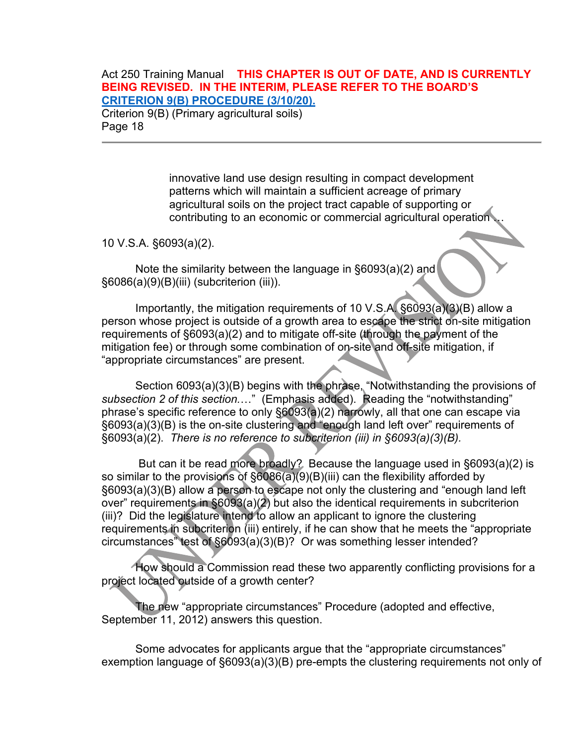Criterion 9(B) (Primary agricultural soils) Page 18

> innovative land use design resulting in compact development patterns which will maintain a sufficient acreage of primary agricultural soils on the project tract capable of supporting or contributing to an economic or commercial agricultural operation

10 V.S.A. §6093(a)(2).

Note the similarity between the language in §6093(a)(2) and §6086(a)(9)(B)(iii) (subcriterion (iii)).

Importantly, the mitigation requirements of 10 V.S.A. §6093(a)(3)(B) allow a person whose project is outside of a growth area to escape the strict on-site mitigation requirements of §6093(a)(2) and to mitigate off-site (through the payment of the mitigation fee) or through some combination of on-site and off-site mitigation, if "appropriate circumstances" are present.

Section 6093(a)(3)(B) begins with the phrase, "Notwithstanding the provisions of *subsection 2 of this section.*…" (Emphasis added). Reading the "notwithstanding" phrase's specific reference to only §6093(a)(2) narrowly, all that one can escape via §6093(a)(3)(B) is the on-site clustering and "enough land left over" requirements of §6093(a)(2). *There is no reference to subcriterion (iii) in §6093(a)(3)(B).*

But can it be read more broadly? Because the language used in §6093(a)(2) is so similar to the provisions of §6086(a)(9)(B)(iii) can the flexibility afforded by §6093(a)(3)(B) allow a person to escape not only the clustering and "enough land left over" requirements in §6093(a)(2) but also the identical requirements in subcriterion (iii)? Did the legislature intend to allow an applicant to ignore the clustering requirements in subcriterion (iii) entirely, if he can show that he meets the "appropriate circumstances" test of §6093(a)(3)(B)? Or was something lesser intended?

How should a Commission read these two apparently conflicting provisions for a project located outside of a growth center?

The new "appropriate circumstances" Procedure (adopted and effective, September 11, 2012) answers this question.

Some advocates for applicants argue that the "appropriate circumstances" exemption language of §6093(a)(3)(B) pre-empts the clustering requirements not only of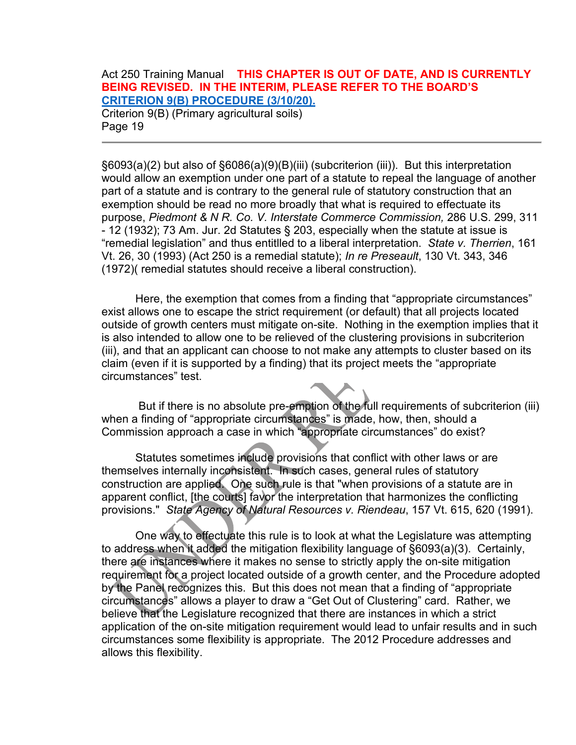Criterion 9(B) (Primary agricultural soils) Page 19

§6093(a)(2) but also of §6086(a)(9)(B)(iii) (subcriterion (iii)). But this interpretation would allow an exemption under one part of a statute to repeal the language of another part of a statute and is contrary to the general rule of statutory construction that an exemption should be read no more broadly that what is required to effectuate its purpose, *Piedmont & N R. Co. V. Interstate Commerce Commission,* 286 U.S. 299, 311 - 12 (1932); 73 Am. Jur. 2d Statutes § 203, especially when the statute at issue is "remedial legislation" and thus entitlled to a liberal interpretation. *State v. Therrien*, 161 Vt. 26, 30 (1993) (Act 250 is a remedial statute); *In re Preseault*, 130 Vt. 343, 346 (1972)( remedial statutes should receive a liberal construction).

Here, the exemption that comes from a finding that "appropriate circumstances" exist allows one to escape the strict requirement (or default) that all projects located outside of growth centers must mitigate on-site. Nothing in the exemption implies that it is also intended to allow one to be relieved of the clustering provisions in subcriterion (iii), and that an applicant can choose to not make any attempts to cluster based on its claim (even if it is supported by a finding) that its project meets the "appropriate circumstances" test.

But if there is no absolute pre-emption of the full requirements of subcriterion (iii) when a finding of "appropriate circumstances" is made, how, then, should a Commission approach a case in which "appropriate circumstances" do exist?

Statutes sometimes include provisions that conflict with other laws or are themselves internally inconsistent. In such cases, general rules of statutory construction are applied. One such rule is that "when provisions of a statute are in apparent conflict, [the courts] favor the interpretation that harmonizes the conflicting provisions." *State Agency of Natural Resources v. Riendeau*, 157 Vt. 615, 620 (1991).

One way to effectuate this rule is to look at what the Legislature was attempting to address when it added the mitigation flexibility language of §6093(a)(3). Certainly, there are instances where it makes no sense to strictly apply the on-site mitigation requirement for a project located outside of a growth center, and the Procedure adopted by the Panel recognizes this. But this does not mean that a finding of "appropriate circumstances" allows a player to draw a "Get Out of Clustering" card. Rather, we believe that the Legislature recognized that there are instances in which a strict application of the on-site mitigation requirement would lead to unfair results and in such circumstances some flexibility is appropriate. The 2012 Procedure addresses and allows this flexibility.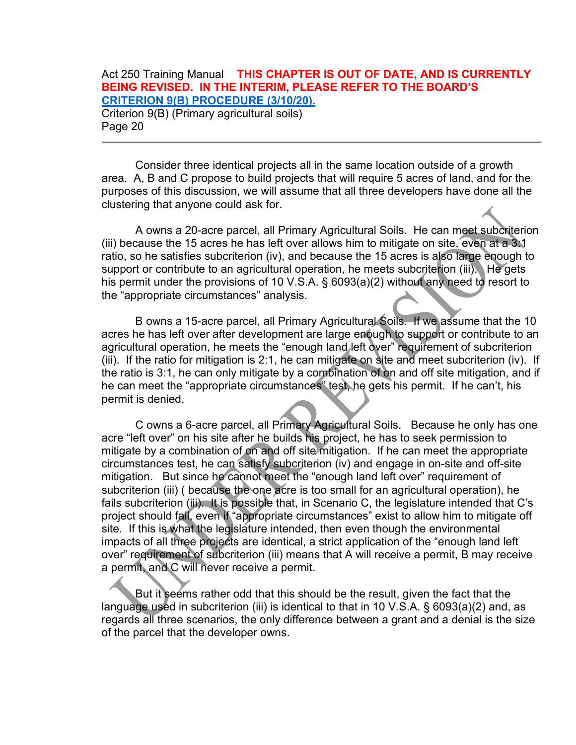Consider three identical projects all in the same location outside of a growth area. A, B and C propose to build projects that will require 5 acres of land, and for the purposes of this discussion, we will assume that all three developers have done all the clustering that anyone could ask for.

A owns a 20-acre parcel, all Primary Agricultural Soils. He can meet subcriterion (iii) because the 15 acres he has left over allows him to mitigate on site, even at a 3:1 ratio, so he satisfies subcriterion (iv), and because the 15 acres is also large enough to support or contribute to an agricultural operation, he meets subcriterion (iii). He gets his permit under the provisions of 10 V.S.A. § 6093(a)(2) without any need to resort to the "appropriate circumstances" analysis.

B owns a 15-acre parcel, all Primary Agricultural Soils. If we assume that the 10 acres he has left over after development are large enough to support or contribute to an agricultural operation, he meets the "enough land left over" requirement of subcriterion (iii). If the ratio for mitigation is 2:1, he can mitigate on site and meet subcriterion (iv). If the ratio is 3:1, he can only mitigate by a combination of on and off site mitigation, and if he can meet the "appropriate circumstances" test, he gets his permit. If he can't, his permit is denied.

C owns a 6-acre parcel, all Primary Agricultural Soils. Because he only has one acre "left over" on his site after he builds his project, he has to seek permission to mitigate by a combination of on and off site mitigation. If he can meet the appropriate circumstances test, he can satisfy subcriterion (iv) and engage in on-site and off-site mitigation. But since he cannot meet the "enough land left over" requirement of subcriterion (iii) ( because the one acre is too small for an agricultural operation), he fails subcriterion (iii). It is possible that, in Scenario C, the legislature intended that C's project should fail, even if "appropriate circumstances" exist to allow him to mitigate off site. If this is what the legislature intended, then even though the environmental impacts of all three projects are identical, a strict application of the "enough land left over" requirement of subcriterion (iii) means that A will receive a permit, B may receive a permit, and C will never receive a permit.

But it seems rather odd that this should be the result, given the fact that the language used in subcriterion (iii) is identical to that in 10 V.S.A. § 6093(a)(2) and, as regards all three scenarios, the only difference between a grant and a denial is the size of the parcel that the developer owns.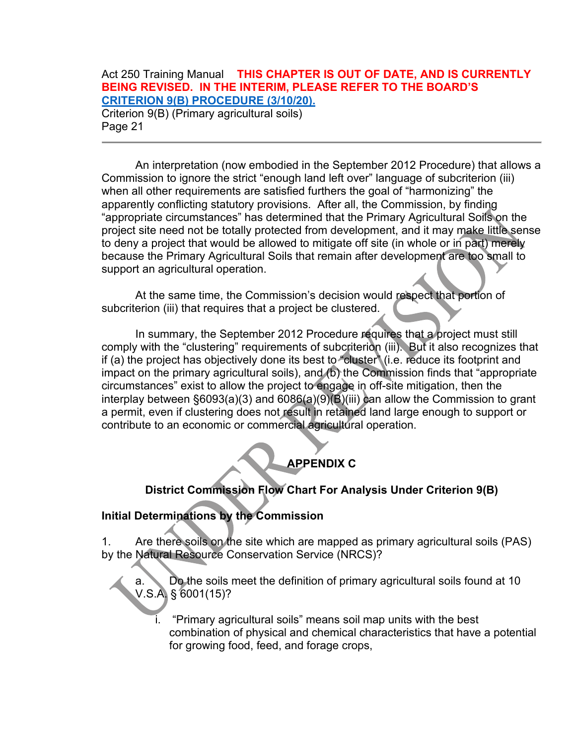Page 21

An interpretation (now embodied in the September 2012 Procedure) that allows a Commission to ignore the strict "enough land left over" language of subcriterion (iii) when all other requirements are satisfied furthers the goal of "harmonizing" the apparently conflicting statutory provisions. After all, the Commission, by finding "appropriate circumstances" has determined that the Primary Agricultural Soils on the project site need not be totally protected from development, and it may make little sense to deny a project that would be allowed to mitigate off site (in whole or in part) merely because the Primary Agricultural Soils that remain after development are too small to support an agricultural operation.

At the same time, the Commission's decision would respect that portion of subcriterion (iii) that requires that a project be clustered.

In summary, the September 2012 Procedure requires that a project must still comply with the "clustering" requirements of subcriterion (iii). But it also recognizes that if (a) the project has objectively done its best to "cluster" (i.e. reduce its footprint and impact on the primary agricultural soils), and (b) the Commission finds that "appropriate circumstances" exist to allow the project to engage in off-site mitigation, then the interplay between §6093(a)(3) and 6086(a)(9)(B)(iii) can allow the Commission to grant a permit, even if clustering does not result in retained land large enough to support or contribute to an economic or commercial agricultural operation.

**APPENDIX C**

# **District Commission Flow Chart For Analysis Under Criterion 9(B)**

# **Initial Determinations by the Commission**

1. Are there soils on the site which are mapped as primary agricultural soils (PAS) by the Natural Resource Conservation Service (NRCS)?

- a. Do the soils meet the definition of primary agricultural soils found at 10 V.S.A. § 6001(15)?
	- i. "Primary agricultural soils" means soil map units with the best combination of physical and chemical characteristics that have a potential for growing food, feed, and forage crops,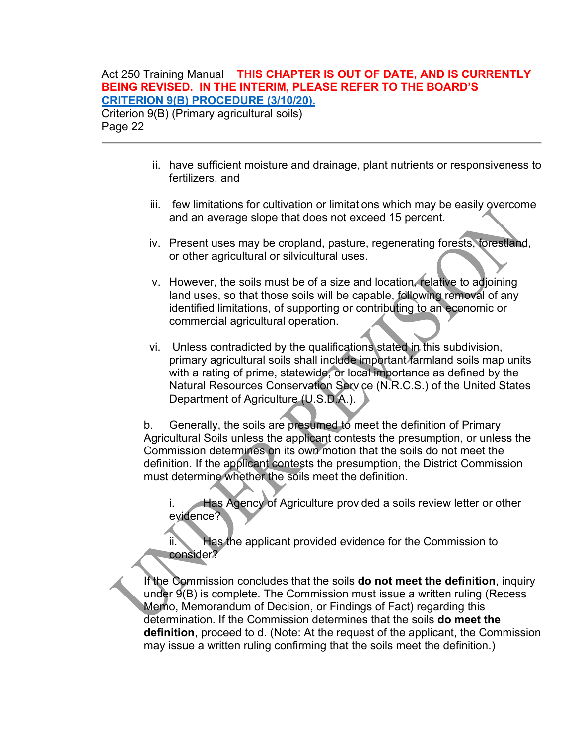Page 22

- ii. have sufficient moisture and drainage, plant nutrients or responsiveness to fertilizers, and
- iii. few limitations for cultivation or limitations which may be easily overcome and an average slope that does not exceed 15 percent.
- iv. Present uses may be cropland, pasture, regenerating forests, forestland, or other agricultural or silvicultural uses.
- v. However, the soils must be of a size and location, relative to adjoining land uses, so that those soils will be capable, following removal of any identified limitations, of supporting or contributing to an economic or commercial agricultural operation.
- vi. Unless contradicted by the qualifications stated in this subdivision, primary agricultural soils shall include important farmland soils map units with a rating of prime, statewide, or local importance as defined by the Natural Resources Conservation Service (N.R.C.S.) of the United States Department of Agriculture (U.S.D.A.).

b. Generally, the soils are presumed to meet the definition of Primary Agricultural Soils unless the applicant contests the presumption, or unless the Commission determines on its own motion that the soils do not meet the definition. If the applicant contests the presumption, the District Commission must determine whether the soils meet the definition.

i. Has Agency of Agriculture provided a soils review letter or other evidence?

ii. Has the applicant provided evidence for the Commission to consider?

If the Commission concludes that the soils **do not meet the definition**, inquiry under 9(B) is complete. The Commission must issue a written ruling (Recess Memo, Memorandum of Decision, or Findings of Fact) regarding this determination. If the Commission determines that the soils **do meet the definition**, proceed to d. (Note: At the request of the applicant, the Commission may issue a written ruling confirming that the soils meet the definition.)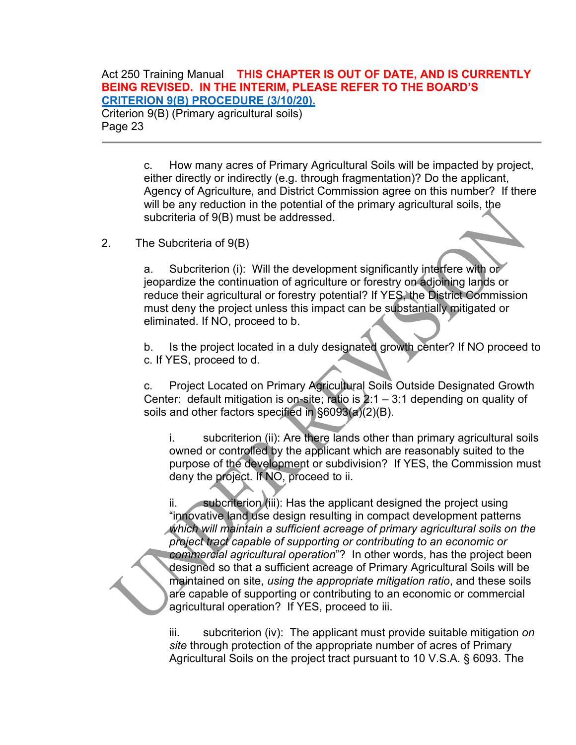Criterion 9(B) (Primary agricultural soils) Page 23

> c. How many acres of Primary Agricultural Soils will be impacted by project, either directly or indirectly (e.g. through fragmentation)? Do the applicant, Agency of Agriculture, and District Commission agree on this number? If there will be any reduction in the potential of the primary agricultural soils, the subcriteria of 9(B) must be addressed.

2. The Subcriteria of 9(B)

a. Subcriterion (i): Will the development significantly interfere with or jeopardize the continuation of agriculture or forestry on adjoining lands or reduce their agricultural or forestry potential? If YES, the District Commission must deny the project unless this impact can be substantially mitigated or eliminated. If NO, proceed to b.

b. Is the project located in a duly designated growth center? If NO proceed to c. If YES, proceed to d.

c. Project Located on Primary Agricultural Soils Outside Designated Growth Center: default mitigation is on-site; ratio is  $2:1 - 3:1$  depending on quality of soils and other factors specified in §6093(a)(2)(B).

i. subcriterion (ii): Are there lands other than primary agricultural soils owned or controlled by the applicant which are reasonably suited to the purpose of the development or subdivision? If YES, the Commission must deny the project. If NO, proceed to ii.

ii. subcriterion (iii): Has the applicant designed the project using "innovative land use design resulting in compact development patterns *which will maintain a sufficient acreage of primary agricultural soils on the project tract capable of supporting or contributing to an economic or commercial agricultural operation*"? In other words, has the project been designed so that a sufficient acreage of Primary Agricultural Soils will be maintained on site, *using the appropriate mitigation ratio*, and these soils are capable of supporting or contributing to an economic or commercial agricultural operation? If YES, proceed to iii.

iii. subcriterion (iv): The applicant must provide suitable mitigation *on site* through protection of the appropriate number of acres of Primary Agricultural Soils on the project tract pursuant to 10 V.S.A. § 6093. The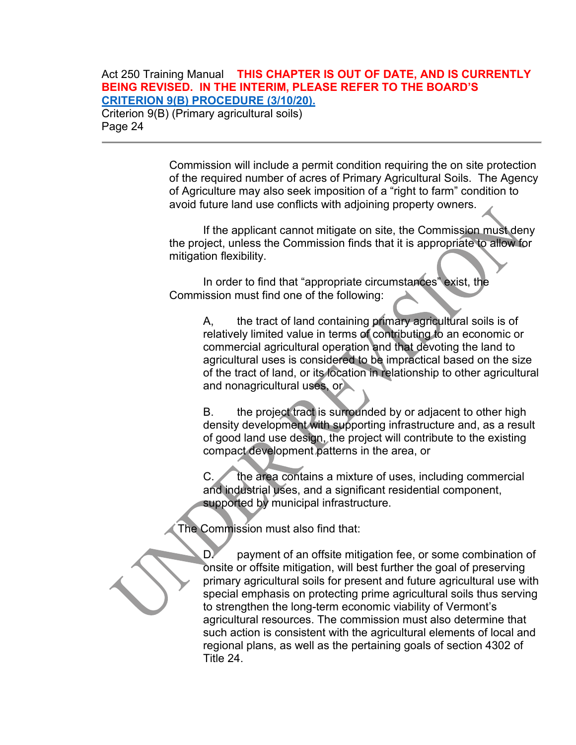Page 24

Commission will include a permit condition requiring the on site protection of the required number of acres of Primary Agricultural Soils. The Agency of Agriculture may also seek imposition of a "right to farm" condition to avoid future land use conflicts with adjoining property owners.

If the applicant cannot mitigate on site, the Commission must deny the project, unless the Commission finds that it is appropriate to allow for mitigation flexibility.

In order to find that "appropriate circumstances" exist, the Commission must find one of the following:

> A, the tract of land containing primary agricultural soils is of relatively limited value in terms of contributing to an economic or commercial agricultural operation and that devoting the land to agricultural uses is considered to be impractical based on the size of the tract of land, or its location in relationship to other agricultural and nonagricultural uses, or

B. the project tract is surrounded by or adjacent to other high density development with supporting infrastructure and, as a result of good land use design, the project will contribute to the existing compact development patterns in the area, or

C. the area contains a mixture of uses, including commercial and industrial uses, and a significant residential component, supported by municipal infrastructure.

The Commission must also find that:

D. payment of an offsite mitigation fee, or some combination of onsite or offsite mitigation, will best further the goal of preserving primary agricultural soils for present and future agricultural use with special emphasis on protecting prime agricultural soils thus serving to strengthen the long-term economic viability of Vermont's agricultural resources. The commission must also determine that such action is consistent with the agricultural elements of local and regional plans, as well as the pertaining goals of section 4302 of Title 24.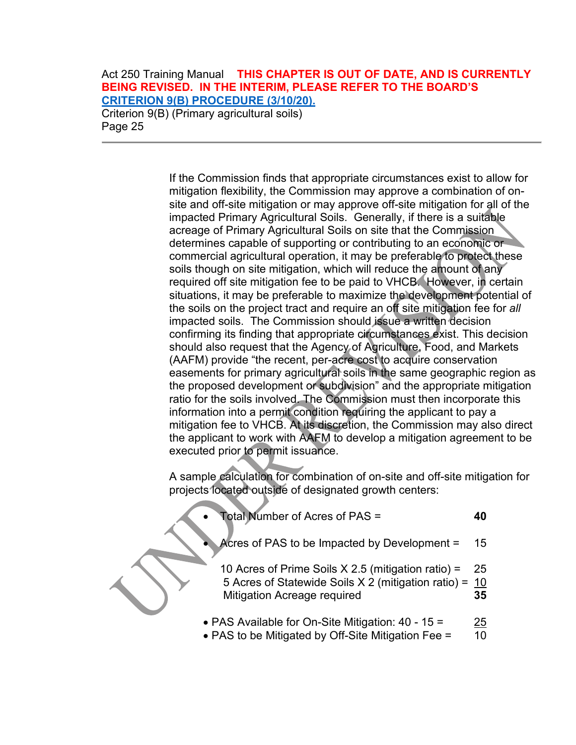If the Commission finds that appropriate circumstances exist to allow for mitigation flexibility, the Commission may approve a combination of onsite and off-site mitigation or may approve off-site mitigation for all of the impacted Primary Agricultural Soils. Generally, if there is a suitable acreage of Primary Agricultural Soils on site that the Commission determines capable of supporting or contributing to an economic or commercial agricultural operation, it may be preferable to protect these soils though on site mitigation, which will reduce the amount of any required off site mitigation fee to be paid to VHCB. However, in certain situations, it may be preferable to maximize the development potential of the soils on the project tract and require an off site mitigation fee for *all* impacted soils. The Commission should issue a written decision confirming its finding that appropriate circumstances exist. This decision should also request that the Agency of Agriculture, Food, and Markets (AAFM) provide "the recent, per-acre cost to acquire conservation easements for primary agricultural soils in the same geographic region as the proposed development or subdivision" and the appropriate mitigation ratio for the soils involved. The Commission must then incorporate this information into a permit condition requiring the applicant to pay a mitigation fee to VHCB. At its discretion, the Commission may also direct the applicant to work with AAFM to develop a mitigation agreement to be executed prior to permit issuance.

A sample calculation for combination of on-site and off-site mitigation for projects located outside of designated growth centers:

| • Total Number of Acres of PAS =                                                                                                                   | 40       |
|----------------------------------------------------------------------------------------------------------------------------------------------------|----------|
| Acres of PAS to be Impacted by Development =                                                                                                       | 15       |
| 10 Acres of Prime Soils X 2.5 (mitigation ratio) =<br>5 Acres of Statewide Soils X 2 (mitigation ratio) = 10<br><b>Mitigation Acreage required</b> | 25<br>35 |
| • PAS Available for On-Site Mitigation: 40 - 15 =<br>• PAS to be Mitigated by Off-Site Mitigation Fee =                                            | 25<br>10 |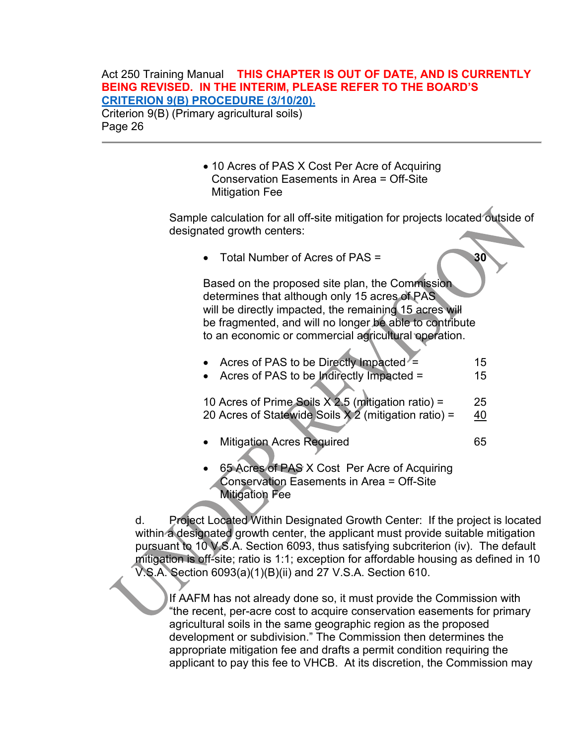Criterion 9(B) (Primary agricultural soils) Page 26

> • 10 Acres of PAS X Cost Per Acre of Acquiring Conservation Easements in Area = Off-Site Mitigation Fee

Sample calculation for all off-site mitigation for projects located outside of designated growth centers:

• Total Number of Acres of PAS = **30**

Based on the proposed site plan, the Commission determines that although only 15 acres of PAS will be directly impacted, the remaining 15 acres will be fragmented, and will no longer be able to contribute to an economic or commercial agricultural operation.

- Acres of PAS to be Directly Impacted  $\epsilon$  = 15
- Acres of PAS to be Indirectly Impacted = 15
- 10 Acres of Prime Soils  $X$  2.5 (mitigation ratio) = 25 20 Acres of Statewide Soils  $X$  2 (mitigation ratio) = 40
- Mitigation Acres Required 65
- 65 Acres of PAS X Cost Per Acre of Acquiring Conservation Easements in Area = Off-Site Mitigation Fee

d. Project Located Within Designated Growth Center: If the project is located within a designated growth center, the applicant must provide suitable mitigation pursuant to 10 V.S.A. Section 6093, thus satisfying subcriterion (iv). The default mitigation is off-site; ratio is 1:1; exception for affordable housing as defined in 10 V.S.A. Section 6093(a)(1)(B)(ii) and 27 V.S.A. Section 610.

If AAFM has not already done so, it must provide the Commission with "the recent, per-acre cost to acquire conservation easements for primary agricultural soils in the same geographic region as the proposed development or subdivision." The Commission then determines the appropriate mitigation fee and drafts a permit condition requiring the applicant to pay this fee to VHCB. At its discretion, the Commission may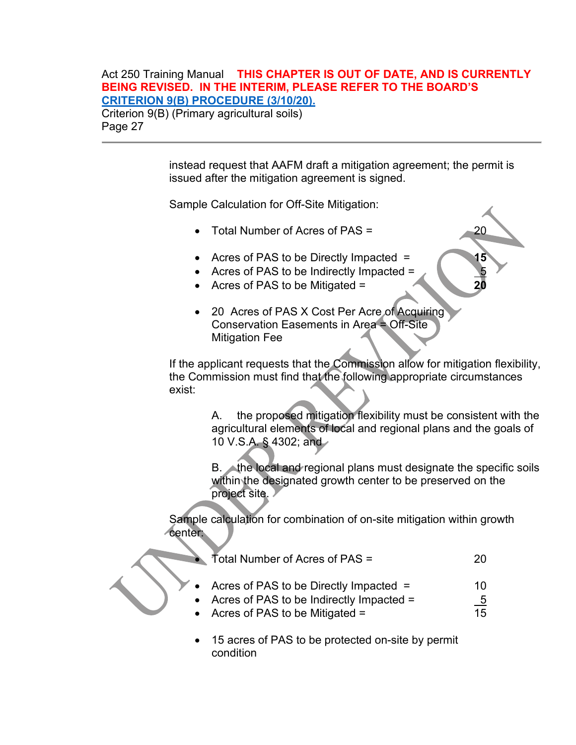Criterion 9(B) (Primary agricultural soils) Page 27

> instead request that AAFM draft a mitigation agreement; the permit is issued after the mitigation agreement is signed.

Sample Calculation for Off-Site Mitigation:

- Total Number of Acres of PAS = 20
- Acres of PAS to be Directly Impacted = **15**
- Acres of PAS to be Indirectly Impacted =
- Acres of PAS to be Mitigated = **20**
- 20 Acres of PAS X Cost Per Acre of Acquiring Conservation Easements in Area = Off-Site Mitigation Fee

If the applicant requests that the Commission allow for mitigation flexibility, the Commission must find that the following appropriate circumstances exist:

> A. the proposed mitigation flexibility must be consistent with the agricultural elements of local and regional plans and the goals of 10 V.S.A. § 4302; and

> B. the local and regional plans must designate the specific soils within the designated growth center to be preserved on the project site.

Sample calculation for combination of on-site mitigation within growth center:

• Total Number of Acres of PAS = 20

- Acres of PAS to be Directly Impacted = 10
- Acres of PAS to be Indirectly Impacted =  $\frac{5}{5}$
- Acres of PAS to be Mitigated = 15
- 15 acres of PAS to be protected on-site by permit condition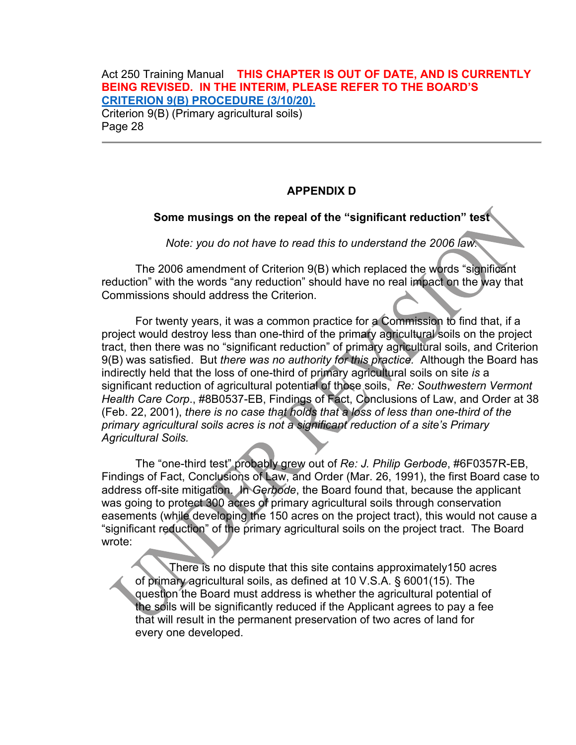Criterion 9(B) (Primary agricultural soils) Page 28

## **APPENDIX D**

#### **Some musings on the repeal of the "significant reduction" test**

*Note: you do not have to read this to understand the 2006 law.*

The 2006 amendment of Criterion 9(B) which replaced the words "significant reduction" with the words "any reduction" should have no real impact on the way that Commissions should address the Criterion.

For twenty years, it was a common practice for a Commission to find that, if a project would destroy less than one-third of the primary agricultural soils on the project tract, then there was no "significant reduction" of primary agricultural soils, and Criterion 9(B) was satisfied. But *there was no authority for this practice.* Although the Board has indirectly held that the loss of one-third of primary agricultural soils on site *is* a significant reduction of agricultural potential of those soils, *Re: Southwestern Vermont Health Care Corp*., #8B0537-EB, Findings of Fact, Conclusions of Law, and Order at 38 (Feb. 22, 2001), *there is no case that holds that a loss of less than one-third of the primary agricultural soils acres is not a significant reduction of a site's Primary Agricultural Soils.*

The "one-third test" probably grew out of *Re: J. Philip Gerbode*, #6F0357R-EB, Findings of Fact, Conclusions of Law, and Order (Mar. 26, 1991), the first Board case to address off-site mitigation. In *Gerbode*, the Board found that, because the applicant was going to protect 300 acres of primary agricultural soils through conservation easements (while developing the 150 acres on the project tract), this would not cause a "significant reduction" of the primary agricultural soils on the project tract. The Board wrote:

There is no dispute that this site contains approximately150 acres of primary agricultural soils, as defined at 10 V.S.A. § 6001(15). The question the Board must address is whether the agricultural potential of the soils will be significantly reduced if the Applicant agrees to pay a fee that will result in the permanent preservation of two acres of land for every one developed.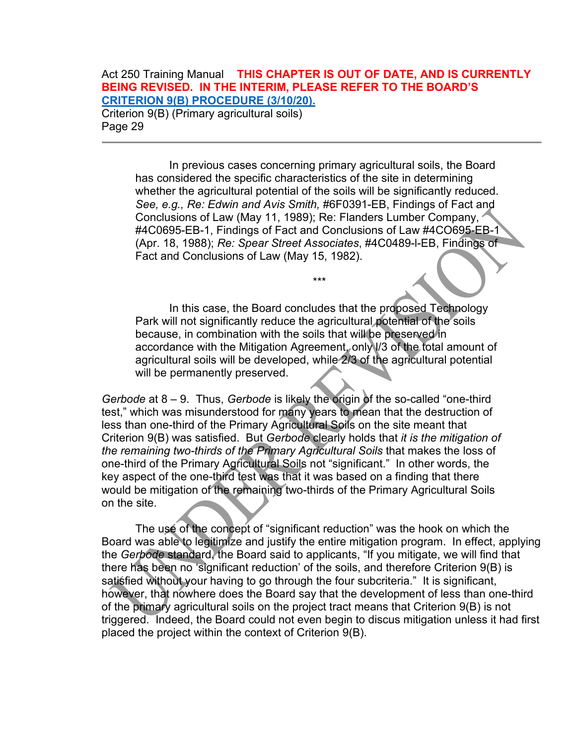Criterion 9(B) (Primary agricultural soils) Page 29

> In previous cases concerning primary agricultural soils, the Board has considered the specific characteristics of the site in determining whether the agricultural potential of the soils will be significantly reduced. *See, e.g., Re: Edwin and Avis Smith,* #6F0391-EB, Findings of Fact and Conclusions of Law (May 11, 1989); Re: Flanders Lumber Company, #4C0695-EB-1, Findings of Fact and Conclusions of Law #4CO695-EB-1 (Apr. 18, 1988); *Re: Spear Street Associates*, #4C0489-l-EB, Findings of Fact and Conclusions of Law (May 15, 1982).

In this case, the Board concludes that the proposed Technology Park will not significantly reduce the agricultural potential of the soils because, in combination with the soils that will be preserved in accordance with the Mitigation Agreement, only l/3 of the total amount of agricultural soils will be developed, while 2/3 of the agricultural potential will be permanently preserved.

\*\*\*

*Gerbode* at 8 – 9. Thus, *Gerbode* is likely the origin of the so-called "one-third test," which was misunderstood for many years to mean that the destruction of less than one-third of the Primary Agricultural Soils on the site meant that Criterion 9(B) was satisfied. But *Gerbode* clearly holds that *it is the mitigation of the remaining two-thirds of the Primary Agricultural Soils* that makes the loss of one-third of the Primary Agricultural Soils not "significant." In other words, the key aspect of the one-third test was that it was based on a finding that there would be mitigation of the remaining two-thirds of the Primary Agricultural Soils on the site.

The use of the concept of "significant reduction" was the hook on which the Board was able to legitimize and justify the entire mitigation program. In effect, applying the *Gerbode* standard, the Board said to applicants, "If you mitigate, we will find that there has been no 'significant reduction' of the soils, and therefore Criterion 9(B) is satisfied without your having to go through the four subcriteria." It is significant, however, that nowhere does the Board say that the development of less than one-third of the primary agricultural soils on the project tract means that Criterion 9(B) is not triggered. Indeed, the Board could not even begin to discus mitigation unless it had first placed the project within the context of Criterion 9(B).